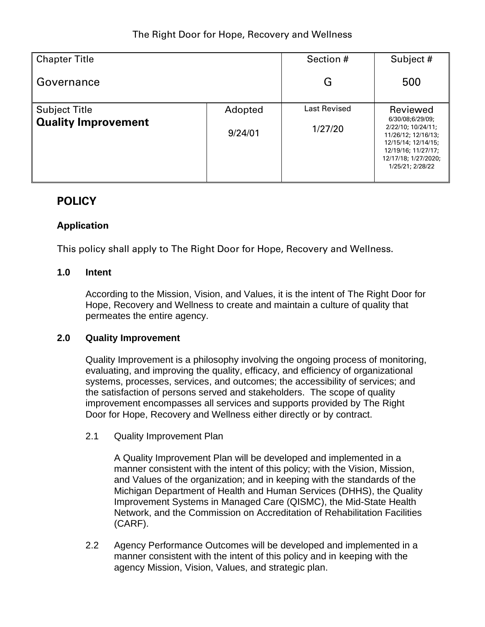| <b>Chapter Title</b>       |         | Section #           | Subject #                                                                                                                                               |  |
|----------------------------|---------|---------------------|---------------------------------------------------------------------------------------------------------------------------------------------------------|--|
| Governance                 |         | G                   | 500                                                                                                                                                     |  |
| <b>Subject Title</b>       | Adopted | <b>Last Revised</b> | Reviewed                                                                                                                                                |  |
| <b>Quality Improvement</b> | 9/24/01 | 1/27/20             | 6/30/08;6/29/09;<br>2/22/10; 10/24/11;<br>11/26/12; 12/16/13;<br>12/15/14; 12/14/15;<br>12/19/16; 11/27/17;<br>12/17/18; 1/27/2020;<br>1/25/21; 2/28/22 |  |

# **POLICY**

## **Application**

This policy shall apply to The Right Door for Hope, Recovery and Wellness.

### **1.0 Intent**

According to the Mission, Vision, and Values, it is the intent of The Right Door for Hope, Recovery and Wellness to create and maintain a culture of quality that permeates the entire agency.

#### **2.0 Quality Improvement**

Quality Improvement is a philosophy involving the ongoing process of monitoring, evaluating, and improving the quality, efficacy, and efficiency of organizational systems, processes, services, and outcomes; the accessibility of services; and the satisfaction of persons served and stakeholders. The scope of quality improvement encompasses all services and supports provided by The Right Door for Hope, Recovery and Wellness either directly or by contract.

2.1 Quality Improvement Plan

A Quality Improvement Plan will be developed and implemented in a manner consistent with the intent of this policy; with the Vision, Mission, and Values of the organization; and in keeping with the standards of the Michigan Department of Health and Human Services (DHHS), the Quality Improvement Systems in Managed Care (QISMC), the Mid-State Health Network, and the Commission on Accreditation of Rehabilitation Facilities (CARF).

2.2 Agency Performance Outcomes will be developed and implemented in a manner consistent with the intent of this policy and in keeping with the agency Mission, Vision, Values, and strategic plan.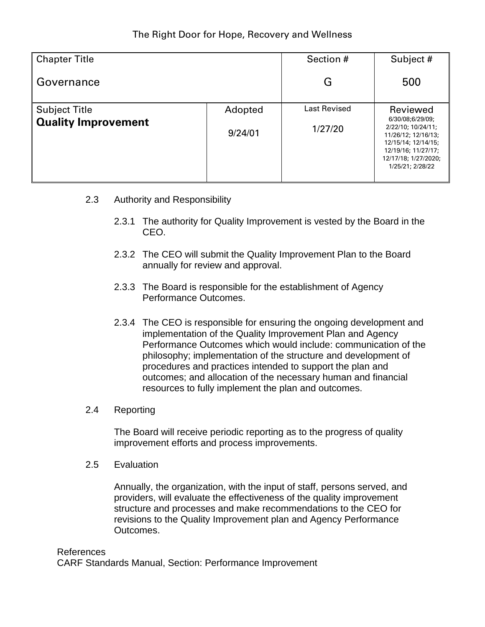| <b>Chapter Title</b>       |         | Section #    | Subject #                                                                                                                                               |  |
|----------------------------|---------|--------------|---------------------------------------------------------------------------------------------------------------------------------------------------------|--|
| Governance                 |         | G            | 500                                                                                                                                                     |  |
| <b>Subject Title</b>       | Adopted | Last Revised | Reviewed                                                                                                                                                |  |
| <b>Quality Improvement</b> | 9/24/01 | 1/27/20      | 6/30/08;6/29/09;<br>2/22/10; 10/24/11;<br>11/26/12; 12/16/13;<br>12/15/14; 12/14/15;<br>12/19/16; 11/27/17;<br>12/17/18; 1/27/2020;<br>1/25/21; 2/28/22 |  |

- 2.3 Authority and Responsibility
	- 2.3.1 The authority for Quality Improvement is vested by the Board in the CEO.
	- 2.3.2 The CEO will submit the Quality Improvement Plan to the Board annually for review and approval.
	- 2.3.3 The Board is responsible for the establishment of Agency Performance Outcomes.
	- 2.3.4 The CEO is responsible for ensuring the ongoing development and implementation of the Quality Improvement Plan and Agency Performance Outcomes which would include: communication of the philosophy; implementation of the structure and development of procedures and practices intended to support the plan and outcomes; and allocation of the necessary human and financial resources to fully implement the plan and outcomes.
- 2.4 Reporting

The Board will receive periodic reporting as to the progress of quality improvement efforts and process improvements.

2.5 Evaluation

Annually, the organization, with the input of staff, persons served, and providers, will evaluate the effectiveness of the quality improvement structure and processes and make recommendations to the CEO for revisions to the Quality Improvement plan and Agency Performance Outcomes.

#### References

CARF Standards Manual, Section: Performance Improvement